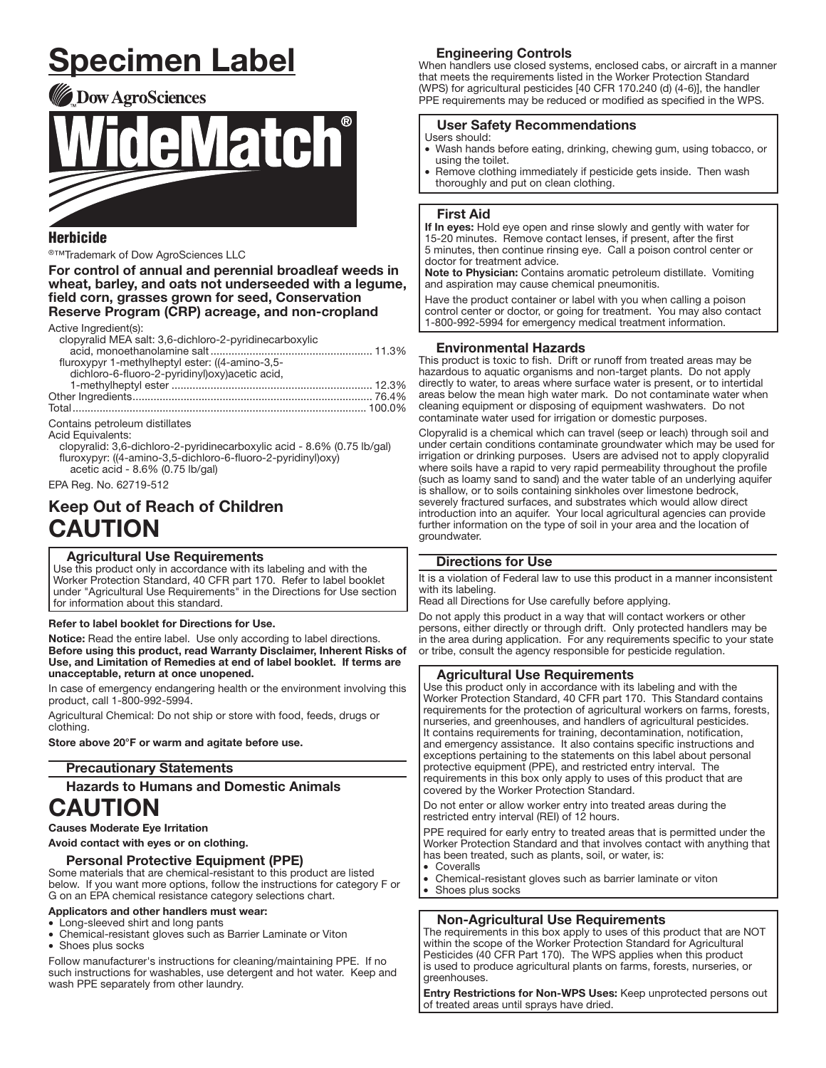# **Specimen Label**

## **Dow AgroSciences**



## **Herbicide**

®™Trademark of Dow AgroSciences LLC

## For control of annual and perennial broadleaf weeds in wheat, barley, and oats not underseeded with a legume, field corn, grasses grown for seed, Conservation Reserve Program (CRP) acreage, and non-cropland

## $A^{i}$

| ACTIVE INQUESTION.                                     |  |
|--------------------------------------------------------|--|
| clopyralid MEA salt: 3,6-dichloro-2-pyridinecarboxylic |  |
|                                                        |  |
| fluroxypyr 1-methylheptyl ester: ((4-amino-3,5-        |  |
| dichloro-6-fluoro-2-pyridinyl)oxy)acetic acid,         |  |
|                                                        |  |
|                                                        |  |
|                                                        |  |
|                                                        |  |

Contains petroleum distillates

Acid Faulyalents:

clopyralid: 3,6-dichloro-2-pyridinecarboxylic acid - 8.6% (0.75 lb/gal) fluroxypyr: ((4-amino-3,5-dichloro-6-fluoro-2-pyridinyl)oxy) acetic acid - 8.6% (0.75 lb/gal)

EPA Reg. No. 62719-512

## **Keep Out of Reach of Children CAUTION**

## **Agricultural Use Requirements**

Use this product only in accordance with its labeling and with the Worker Protection Standard, 40 CFR part 170. Refer to label booklet under "Agricultural Use Requirements" in the Directions for Use section for information about this standard

## Refer to label booklet for Directions for Use.

Notice: Read the entire label. Use only according to label directions. Before using this product, read Warranty Disclaimer, Inherent Risks of Use, and Limitation of Remedies at end of label booklet. If terms are unacceptable, return at once unopened.

In case of emergency endangering health or the environment involving this product, call 1-800-992-5994.

Agricultural Chemical: Do not ship or store with food, feeds, drugs or clothing.

Store above 20°F or warm and agitate before use.

## **Precautionary Statements**

**Hazards to Humans and Domestic Animals** 

## **CAUTION**

**Causes Moderate Eye Irritation** 

Avoid contact with eyes or on clothing.

## **Personal Protective Equipment (PPE)**

Some materials that are chemical-resistant to this product are listed below. If you want more options, follow the instructions for category F or G on an EPA chemical resistance category selections chart.

## Applicators and other handlers must wear:

- Long-sleeved shirt and long pants
- Chemical-resistant gloves such as Barrier Laminate or Viton
- Shoes plus socks

Follow manufacturer's instructions for cleaning/maintaining PPE. If no such instructions for washables, use detergent and hot water. Keep and wash PPE separately from other laundry.

## **Engineering Controls**

When handlers use closed systems, enclosed cabs, or aircraft in a manner that meets the requirements listed in the Worker Protection Standard (WPS) for agricultural pesticides [40 CFR 170.240 (d) (4-6)], the handler PPE requirements may be reduced or modified as specified in the WPS.

## **User Safety Recommendations**

Users should:

- Wash hands before eating, drinking, chewing gum, using tobacco, or using the toilet.
- Remove clothing immediately if pesticide gets inside. Then wash thoroughly and put on clean clothing.

## **First Aid**

If In eyes: Hold eye open and rinse slowly and gently with water for 15-20 minutes. Remove contact lenses, if present, after the first 5 minutes, then continue rinsing eye. Call a poison control center or doctor for treatment advice.

Note to Physician: Contains aromatic petroleum distillate. Vomiting and aspiration may cause chemical pneumonitis.

Have the product container or label with you when calling a poison control center or doctor, or going for treatment. You may also contact 1-800-992-5994 for emergency medical treatment information.

## **Environmental Hazards**

This product is toxic to fish. Drift or runoff from treated areas may be hazardous to aquatic organisms and non-target plants. Do not apply directly to water, to areas where surface water is present, or to intertidal areas below the mean high water mark. Do not contaminate water when cleaning equipment or disposing of equipment washwaters. Do not contaminate water used for irrigation or domestic purposes.

Clopyralid is a chemical which can travel (seep or leach) through soil and under certain conditions contaminate groundwater which may be used for irrigation or drinking purposes. Users are advised not to apply clopyralid where soils have a rapid to very rapid permeability throughout the profile (such as loamy sand to sand) and the water table of an underlying aquifer is shallow, or to soils containing sinkholes over limestone bedrock, severely fractured surfaces, and substrates which would allow direct introduction into an aquifer. Your local agricultural agencies can provide further information on the type of soil in your area and the location of groundwater.

## **Directions for Use**

It is a violation of Federal law to use this product in a manner inconsistent with its labeling.

Read all Directions for Use carefully before applying.

Do not apply this product in a way that will contact workers or other persons, either directly or through drift. Only protected handlers may be in the area during application. For any requirements specific to your state or tribe, consult the agency responsible for pesticide regulation.

## **Agricultural Use Requirements**

Use this product only in accordance with its labeling and with the Worker Protection Standard, 40 CFR part 170. This Standard contains requirements for the protection of agricultural workers on farms, forests, nurseries, and greenhouses, and handlers of agricultural pesticides. It contains requirements for training, decontamination, notification, and emergency assistance. It also contains specific instructions and exceptions pertaining to the statements on this label about personal protective equipment (PPE), and restricted entry interval. The requirements in this box only apply to uses of this product that are covered by the Worker Protection Standard.

Do not enter or allow worker entry into treated areas during the restricted entry interval (REI) of 12 hours.

PPE required for early entry to treated areas that is permitted under the Worker Protection Standard and that involves contact with anything that has been treated, such as plants, soil, or water, is:

- Coveralls
- Chemical-resistant gloves such as barrier laminate or viton
- Shoes plus socks

## **Non-Agricultural Use Requirements**

The requirements in this box apply to uses of this product that are NOT within the scope of the Worker Protection Standard for Agricultural Pesticides (40 CFR Part 170). The WPS applies when this product is used to produce agricultural plants on farms, forests, nurseries, or greenhouses.

Entry Restrictions for Non-WPS Uses: Keep unprotected persons out of treated areas until sprays have dried.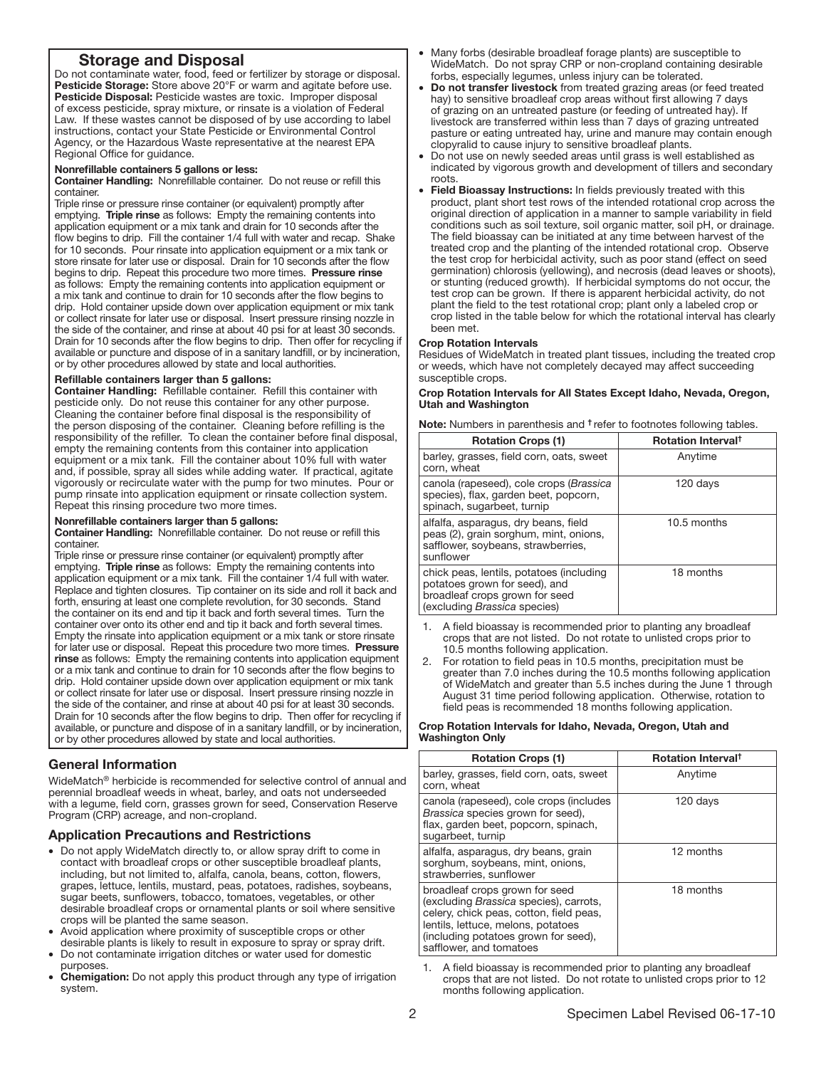## Storage and Disposal

Do not contaminate water, food, feed or fertilizer by storage or disposal. Pesticide Storage: Store above 20°F or warm and agitate before use. Pesticide Disposal: Pesticide wastes are toxic. Improper disposal of excess pesticide, spray mixture, or rinsate is a violation of Federal Law. If these wastes cannot be disposed of by use according to label instructions, contact your State Pesticide or Environmental Control Agency, or the Hazardous Waste representative at the nearest EPA Regional Office for guidance.

## Nonrefillable containers 5 gallons or less:

Container Handling: Nonrefillable container. Do not reuse or refill this container.

Triple rinse or pressure rinse container (or equivalent) promptly after emptying. Triple rinse as follows: Empty the remaining contents into application equipment or a mix tank and drain for 10 seconds after the flow begins to drip. Fill the container 1/4 full with water and recap. Shake for 10 seconds. Pour rinsate into application equipment or a mix tank or store rinsate for later use or disposal. Drain for 10 seconds after the flow begins to drip. Repeat this procedure two more times. Pressure rinse as follows: Empty the remaining contents into application equipment or a mix tank and continue to drain for 10 seconds after the flow begins to drip. Hold container upside down over application equipment or mix tank or collect rinsate for later use or disposal. Insert pressure rinsing nozzle in the side of the container, and rinse at about 40 psi for at least 30 seconds. Drain for 10 seconds after the flow begins to drip. Then offer for recycling if available or puncture and dispose of in a sanitary landfill, or by incineration, or by other procedures allowed by state and local authorities.

#### Refillable containers larger than 5 gallons:

Container Handling: Refillable container. Refill this container with pesticide only. Do not reuse this container for any other purpose. Cleaning the container before final disposal is the responsibility of the person disposing of the container. Cleaning before refilling is the responsibility of the refiller. To clean the container before final disposal, empty the remaining contents from this container into application equipment or a mix tank. Fill the container about 10% full with water and, if possible, spray all sides while adding water. If practical, agitate vigorously or recirculate water with the pump for two minutes. Pour or pump rinsate into application equipment or rinsate collection system. Repeat this rinsing procedure two more times.

#### Nonrefillable containers larger than 5 gallons:

Container Handling: Nonrefillable container. Do not reuse or refill this container.

| Triple rinse or pressure rinse container (or equivalent) promptly after           |
|-----------------------------------------------------------------------------------|
| emptying. Triple rinse as follows: Empty the remaining contents into              |
| application equipment or a mix tank. Fill the container 1/4 full with water.      |
| Replace and tighten closures. Tip container on its side and roll it back and      |
| forth, ensuring at least one complete revolution, for 30 seconds. Stand           |
| the container on its end and tip it back and forth several times. Turn the        |
| container over onto its other end and tip it back and forth several times.        |
| Empty the rinsate into application equipment or a mix tank or store rinsate       |
| for later use or disposal. Repeat this procedure two more times. <b>Pressure</b>  |
| rinse as follows: Empty the remaining contents into application equipment         |
| or a mix tank and continue to drain for 10 seconds after the flow begins to       |
| drip. Hold container upside down over application equipment or mix tank           |
| or collect rinsate for later use or disposal. Insert pressure rinsing nozzle in   |
| the side of the container, and rinse at about 40 psi for at least 30 seconds.     |
| Drain for 10 seconds after the flow begins to drip. Then offer for recycling if   |
| available, or puncture and dispose of in a sanitary landfill, or by incineration, |
| or by other procedures allowed by state and local authorities.                    |

## General Information

system�

WideMatch® herbicide is recommended for selective control of annual and perennial broadleaf weeds in wheat, barley, and oats not underseeded with a legume, field corn, grasses grown for seed, Conservation Reserve Program (CRP) acreage, and non-cropland.

## Application Precautions and Restrictions

- Do not apply WideMatch directly to, or allow spray drift to come in contact with broadleaf crops or other susceptible broadleaf plants, including, but not limited to, alfalfa, canola, beans, cotton, flowers, grapes, lettuce, lentils, mustard, peas, potatoes, radishes, soybeans, sugar beets, sunflowers, tobacco, tomatoes, vegetables, or other desirable broadleaf crops or ornamental plants or soil where sensitive crops will be planted the same season.
- Avoid application where proximity of susceptible crops or other
- desirable plants is likely to result in exposure to spray or spray drift. • Do not contaminate irrigation ditches or water used for domestic
- purposes� • Chemigation: Do not apply this product through any type of irrigation
- Many forbs (desirable broadleaf forage plants) are susceptible to WideMatch. Do not spray CRP or non-cropland containing desirable forbs, especially legumes, unless injury can be tolerated.
- Do not transfer livestock from treated grazing areas (or feed treated hay) to sensitive broadleaf crop areas without first allowing 7 days of grazing on an untreated pasture (or feeding of untreated hay). If livestock are transferred within less than 7 days of grazing untreated pasture or eating untreated hay, urine and manure may contain enough clopyralid to cause injury to sensitive broadleaf plants.
- Do not use on newly seeded areas until grass is well established as indicated by vigorous growth and development of tillers and secondary roots�
- Field Bioassay Instructions: In fields previously treated with this product, plant short test rows of the intended rotational crop across the original direction of application in a manner to sample variability in field conditions such as soil texture, soil organic matter, soil pH, or drainage. The field bioassay can be initiated at any time between harvest of the treated crop and the planting of the intended rotational crop. Observe the test crop for herbicidal activity, such as poor stand (effect on seed germination) chlorosis (yellowing), and necrosis (dead leaves or shoots), or stunting (reduced growth). If herbicidal symptoms do not occur, the test crop can be grown. If there is apparent herbicidal activity, do not plant the field to the test rotational crop; plant only a labeled crop or crop listed in the table below for which the rotational interval has clearly been met.

#### Crop Rotation Intervals

Residues of WideMatch in treated plant tissues, including the treated crop or weeds, which have not completely decayed may affect succeeding susceptible crops.

#### Crop Rotation Intervals for All States Except Idaho, Nevada, Oregon, Utah and Washington

Note: Numbers in parenthesis and <sup>†</sup> refer to footnotes following tables.

| <b>Rotation Crops (1)</b>                                                                                                                   | Rotation Interval <sup>†</sup> |
|---------------------------------------------------------------------------------------------------------------------------------------------|--------------------------------|
| barley, grasses, field corn, oats, sweet<br>corn, wheat                                                                                     | Anytime                        |
| canola (rapeseed), cole crops (Brassica<br>species), flax, garden beet, popcorn,<br>spinach, sugarbeet, turnip                              | 120 days                       |
| alfalfa, asparagus, dry beans, field<br>peas (2), grain sorghum, mint, onions,<br>safflower, soybeans, strawberries,<br>sunflower           | 10.5 months                    |
| chick peas, lentils, potatoes (including<br>potatoes grown for seed), and<br>broadleaf crops grown for seed<br>(excluding Brassica species) | 18 months                      |

- 1. A field bioassay is recommended prior to planting any broadleaf crops that are not listed. Do not rotate to unlisted crops prior to 10.5 months following application.
- 2. For rotation to field peas in 10.5 months, precipitation must be greater than 7.0 inches during the 10.5 months following application of WideMatch and greater than 5.5 inches during the June 1 through August 31 time period following application. Otherwise, rotation to field peas is recommended 18 months following application.

#### Crop Rotation Intervals for Idaho, Nevada, Oregon, Utah and Washington Only

| <b>Rotation Crops (1)</b>                                                                                                                                                                                                    | <b>Rotation Interval<sup>t</sup></b> |
|------------------------------------------------------------------------------------------------------------------------------------------------------------------------------------------------------------------------------|--------------------------------------|
| barley, grasses, field corn, oats, sweet<br>corn, wheat                                                                                                                                                                      | Anytime                              |
| canola (rapeseed), cole crops (includes<br>Brassica species grown for seed),<br>flax, garden beet, popcorn, spinach,<br>sugarbeet, turnip                                                                                    | 120 days                             |
| alfalfa, asparagus, dry beans, grain<br>sorghum, soybeans, mint, onions,<br>strawberries, sunflower                                                                                                                          | 12 months                            |
| broadleaf crops grown for seed<br>(excluding Brassica species), carrots,<br>celery, chick peas, cotton, field peas,<br>lentils, lettuce, melons, potatoes<br>(including potatoes grown for seed),<br>safflower, and tomatoes | 18 months                            |

1. A field bioassay is recommended prior to planting any broadleaf crops that are not listed. Do not rotate to unlisted crops prior to 12 months following application.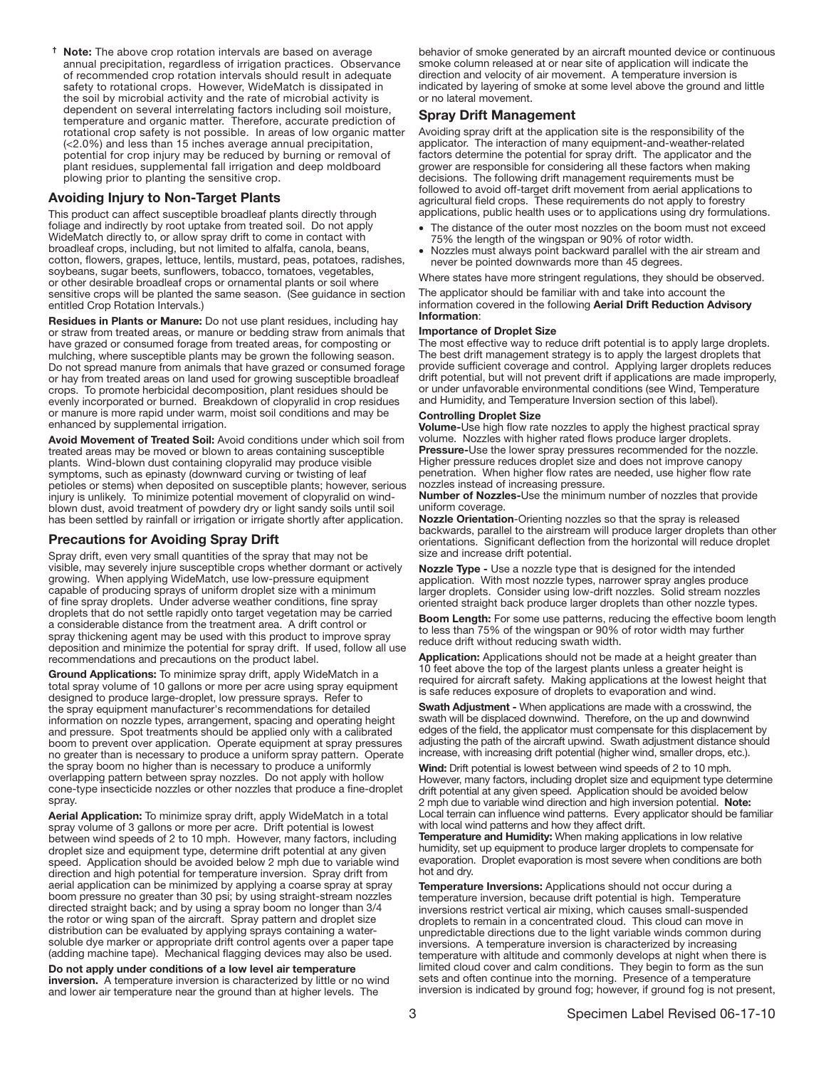<sup>†</sup> Note: The above crop rotation intervals are based on average annual precipitation, regardless of irrigation practices. Observance of recommended crop rotation intervals should result in adequate safety to rotational crops. However, WideMatch is dissipated in the soil by microbial activity and the rate of microbial activity is dependent on several interrelating factors including soil moisture, temperature and organic matter. Therefore, accurate prediction of rotational crop safety is not possible. In areas of low organic matter  $\approx$  2.0%) and less than 15 inches average annual precipitation, potential for crop injury may be reduced by burning or removal of plant residues, supplemental fall irrigation and deep moldboard plowing prior to planting the sensitive crop.

## Avoiding Injury to Non-Target Plants

This product can affect susceptible broadleaf plants directly through foliage and indirectly by root uptake from treated soil. Do not apply WideMatch directly to, or allow spray drift to come in contact with broadleaf crops, including, but not limited to alfalfa, canola, beans, cotton, fiowers, grapes, lettuce, lentils, mustard, peas, potatoes, radishes, soybeans, sugar beets, sunfiowers, tobacco, tomatoes, vegetables, or other desirable broadleaf crops or ornamental plants or soil where sensitive crops will be planted the same season. (See guidance in section entitled Crop Rotation Intervals.)

Residues in Plants or Manure: Do not use plant residues, including hay or straw from treated areas, or manure or bedding straw from animals that have grazed or consumed forage from treated areas, for composting or mulching, where susceptible plants may be grown the following season. Do not spread manure from animals that have grazed or consumed forage or hay from treated areas on land used for growing susceptible broadleaf crops. To promote herbicidal decomposition, plant residues should be evenly incorporated or burned. Breakdown of clopyralid in crop residues or manure is more rapid under warm, moist soil conditions and may be enhanced by supplemental irrigation.

Avoid Movement of Treated Soil: Avoid conditions under which soil from treated areas may be moved or blown to areas containing susceptible plants. Wind-blown dust containing clopyralid may produce visible symptoms, such as epinasty (downward curving or twisting of leaf petioles or stems) when deposited on susceptible plants; however, serious injury is unlikely. To minimize potential movement of clopyralid on windblown dust, avoid treatment of powdery dry or light sandy soils until soil has been settled by rainfall or irrigation or irrigate shortly after application.

## Precautions for Avoiding Spray Drift

Spray drift, even very small quantities of the spray that may not be visible, may severely injure susceptible crops whether dormant or actively growing. When applying WideMatch, use low-pressure equipment capable of producing sprays of uniform droplet size with a minimum of fine spray droplets. Under adverse weather conditions, fine spray droplets that do not settle rapidly onto target vegetation may be carried a considerable distance from the treatment area. A drift control or spray thickening agent may be used with this product to improve spray deposition and minimize the potential for spray drift. If used, follow all use recommendations and precautions on the product label.

Ground Applications: To minimize spray drift, apply WideMatch in a total spray volume of 10 gallons or more per acre using spray equipment designed to produce large-droplet, low pressure sprays. Refer to the spray equipment manufacturer's recommendations for detailed information on nozzle types, arrangement, spacing and operating height and pressure. Spot treatments should be applied only with a calibrated boom to prevent over application. Operate equipment at spray pressures no greater than is necessary to produce a uniform spray pattern. Operate the spray boom no higher than is necessary to produce a uniformly overlapping pattern between spray nozzles. Do not apply with hollow cone-type insecticide nozzles or other nozzles that produce a fine-droplet spray.

Aerial Application: To minimize spray drift, apply WideMatch in a total spray volume of 3 gallons or more per acre. Drift potential is lowest between wind speeds of 2 to 10 mph. However, many factors, including droplet size and equipment type, determine drift potential at any given speed. Application should be avoided below 2 mph due to variable wind direction and high potential for temperature inversion. Spray drift from aerial application can be minimized by applying a coarse spray at spray boom pressure no greater than 30 psi; by using straight-stream nozzles directed straight back; and by using a spray boom no longer than 3/4 the rotor or wing span of the aircraft. Spray pattern and droplet size distribution can be evaluated by applying sprays containing a watersoluble dye marker or appropriate drift control agents over a paper tape (adding machine tape). Mechanical flagging devices may also be used.

Do not apply under conditions of a low level air temperature inversion. A temperature inversion is characterized by little or no wind and lower air temperature near the ground than at higher levels. The

behavior of smoke generated by an aircraft mounted device or continuous smoke column released at or near site of application will indicate the direction and velocity of air movement. A temperature inversion is indicated by layering of smoke at some level above the ground and little or no lateral movement.

## Spray Drift Management

Avoiding spray drift at the application site is the responsibility of the applicator. The interaction of many equipment-and-weather-related factors determine the potential for spray drift. The applicator and the grower are responsible for considering all these factors when making decisions. The following drift management requirements must be followed to avoid off-target drift movement from aerial applications to agricultural field crops. These requirements do not apply to forestry applications, public health uses or to applications using dry formulations.

- The distance of the outer most nozzles on the boom must not exceed 75% the length of the wingspan or 90% of rotor width.
- Nozzles must always point backward parallel with the air stream and never be pointed downwards more than 45 degrees.

Where states have more stringent regulations, they should be observed.

The applicator should be familiar with and take into account the information covered in the following Aerial Drift Reduction Advisory Information:

## Importance of Droplet Size

The most effective way to reduce drift potential is to apply large droplets. The best drift management strategy is to apply the largest droplets that provide sufficient coverage and control. Applying larger droplets reduces drift potential, but will not prevent drift if applications are made improperly, or under unfavorable environmental conditions (see Wind, Temperature and Humidity, and Temperature Inversion section of this label).

#### Controlling Droplet Size

Volume-Use high flow rate nozzles to apply the highest practical spray volume. Nozzles with higher rated flows produce larger droplets. Pressure-Use the lower spray pressures recommended for the nozzle. Higher pressure reduces droplet size and does not improve canopy penetration. When higher flow rates are needed, use higher flow rate nozzles instead of increasing pressure.

Number of Nozzles-Use the minimum number of nozzles that provide uniform coverage.

Nozzle Orientation-Orienting nozzles so that the spray is released backwards, parallel to the airstream will produce larger droplets than other orientations. Significant deflection from the horizontal will reduce droplet size and increase drift potential.

Nozzle Type - Use a nozzle type that is designed for the intended application. With most nozzle types, narrower spray angles produce larger droplets. Consider using low-drift nozzles. Solid stream nozzles oriented straight back produce larger droplets than other nozzle types.

Boom Length: For some use patterns, reducing the effective boom length to less than 75% of the wingspan or 90% of rotor width may further reduce drift without reducing swath width.

Application: Applications should not be made at a height greater than 10 feet above the top of the largest plants unless a greater height is required for aircraft safety. Making applications at the lowest height that is safe reduces exposure of droplets to evaporation and wind.

Swath Adjustment - When applications are made with a crosswind, the swath will be displaced downwind. Therefore, on the up and downwind edges of the field, the applicator must compensate for this displacement by adjusting the path of the aircraft upwind. Swath adjustment distance should increase, with increasing drift potential (higher wind, smaller drops, etc.).

Wind: Drift potential is lowest between wind speeds of 2 to 10 mph. However, many factors, including droplet size and equipment type determine drift potential at any given speed. Application should be avoided below 2 mph due to variable wind direction and high inversion potential. Note: Local terrain can influence wind patterns. Every applicator should be familiar with local wind patterns and how they affect drift.

Temperature and Humidity: When making applications in low relative humidity, set up equipment to produce larger droplets to compensate for evaporation. Droplet evaporation is most severe when conditions are both hot and drv.

Temperature Inversions: Applications should not occur during a temperature inversion, because drift potential is high. Temperature inversions restrict vertical air mixing, which causes small-suspended droplets to remain in a concentrated cloud. This cloud can move in unpredictable directions due to the light variable winds common during inversions. A temperature inversion is characterized by increasing temperature with altitude and commonly develops at night when there is limited cloud cover and calm conditions. They begin to form as the sun sets and often continue into the morning. Presence of a temperature inversion is indicated by ground fog; however, if ground fog is not present,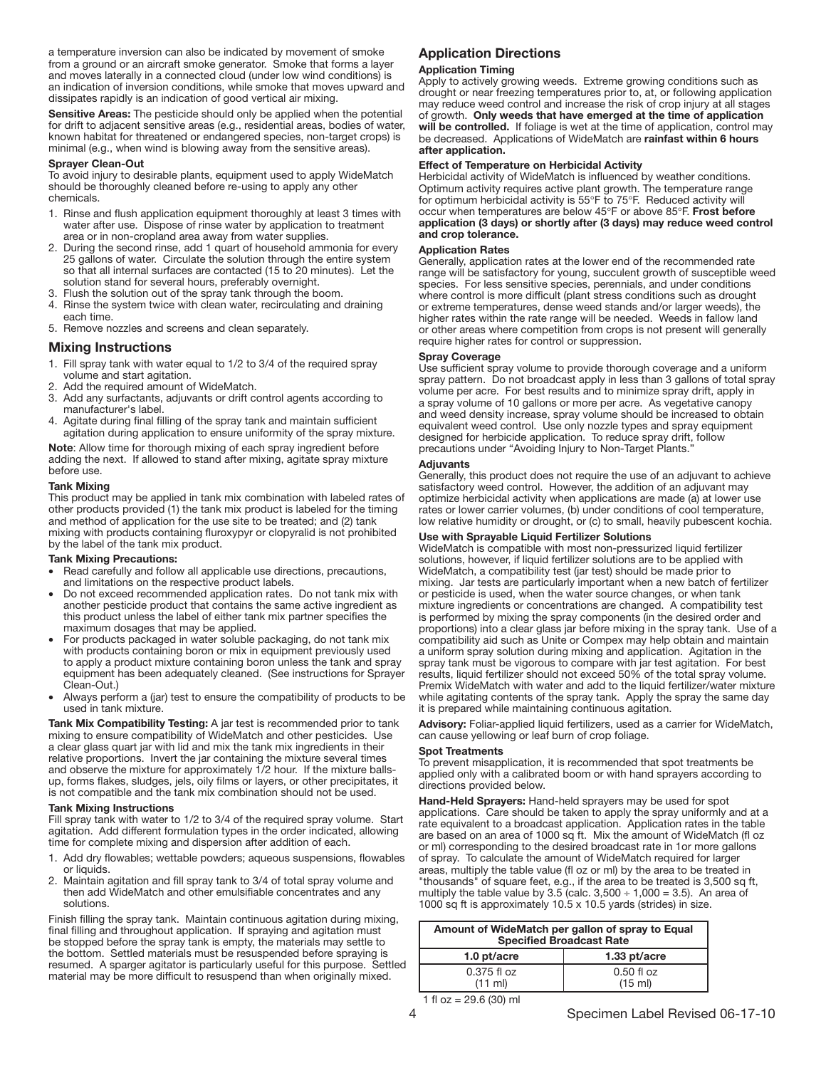a temperature inversion can also be indicated by movement of smoke from a ground or an aircraft smoke generator. Smoke that forms a layer and moves laterally in a connected cloud (under low wind conditions) is an indication of inversion conditions, while smoke that moves upward and dissipates rapidly is an indication of good vertical air mixing.

Sensitive Areas: The pesticide should only be applied when the potential for drift to adjacent sensitive areas (e.g., residential areas, bodies of water, known habitat for threatened or endangered species, non-target crops) is minimal (e.g., when wind is blowing away from the sensitive areas).

#### Sprayer Clean-Out

To avoid injury to desirable plants, equipment used to apply WideMatch should be thoroughly cleaned before re-using to apply any other chemicals�

- 1. Rinse and flush application equipment thoroughly at least 3 times with water after use. Dispose of rinse water by application to treatment area or in non-cropland area away from water supplies.
- 2. During the second rinse, add 1 quart of household ammonia for every 25 gallons of water. Circulate the solution through the entire system so that all internal surfaces are contacted (15 to 20 minutes). Let the solution stand for several hours, preferably overnight.
- 3. Flush the solution out of the spray tank through the boom.
- 4. Rinse the system twice with clean water, recirculating and draining each time.
- 5. Remove nozzles and screens and clean separately.

## Mixing Instructions

- 1. Fill spray tank with water equal to 1/2 to 3/4 of the required spray volume and start agitation.
- 2. Add the required amount of WideMatch.
- 3� Add any surfactants, adjuvants or drift control agents according to manufacturer's label.
- 4. Agitate during final filling of the spray tank and maintain sufficient agitation during application to ensure uniformity of the spray mixture.

Note: Allow time for thorough mixing of each spray ingredient before adding the next. If allowed to stand after mixing, agitate spray mixture before use.

## Tank Mixing

This product may be applied in tank mix combination with labeled rates of other products provided (1) the tank mix product is labeled for the timing and method of application for the use site to be treated; and (2) tank mixing with products containing fiuroxypyr or clopyralid is not prohibited by the label of the tank mix product.

#### Tank Mixing Precautions:

- Read carefully and follow all applicable use directions, precautions, and limitations on the respective product labels.
- Do not exceed recommended application rates. Do not tank mix with another pesticide product that contains the same active ingredient as this product unless the label of either tank mix partner specifles the maximum dosages that may be applied.
- For products packaged in water soluble packaging, do not tank mix with products containing boron or mix in equipment previously used to apply a product mixture containing boron unless the tank and spray equipment has been adequately cleaned. (See instructions for Sprayer Clean-Out.)
- Always perform a (jar) test to ensure the compatibility of products to be used in tank mixture.

Tank Mix Compatibility Testing: A jar test is recommended prior to tank mixing to ensure compatibility of WideMatch and other pesticides. Use a clear glass quart jar with lid and mix the tank mix ingredients in their relative proportions. Invert the jar containing the mixture several times and observe the mixture for approximately 1/2 hour. If the mixture ballsup, forms fiakes, sludges, jels, oily fllms or layers, or other precipitates, it is not compatible and the tank mix combination should not be used.

## Tank Mixing Instructions

Fill spray tank with water to 1/2 to 3/4 of the required spray volume. Start agitation. Add different formulation types in the order indicated, allowing time for complete mixing and dispersion after addition of each.

- 1. Add dry flowables; wettable powders; aqueous suspensions, flowables or liquids.
- 2. Maintain agitation and fill spray tank to 3/4 of total spray volume and then add WideMatch and other emulsiflable concentrates and any solutions.

Finish filling the spray tank. Maintain continuous agitation during mixing, final filling and throughout application. If spraying and agitation must be stopped before the spray tank is empty, the materials may settle to the bottom. Settled materials must be resuspended before spraying is resumed. A sparger agitator is particularly useful for this purpose. Settled material may be more difficult to resuspend than when originally mixed.

## Application Directions

#### Application Timing

Apply to actively growing weeds. Extreme growing conditions such as drought or near freezing temperatures prior to, at, or following application may reduce weed control and increase the risk of crop injury at all stages of growth. Only weeds that have emerged at the time of application will be controlled. If foliage is wet at the time of application, control may be decreased. Applications of WideMatch are rainfast within 6 hours after application.

#### Effect of Temperature on Herbicidal Activity

Herbicidal activity of WideMatch is influenced by weather conditions. Optimum activity requires active plant growth. The temperature range for optimum herbicidal activity is  $55^{\circ}$ F to  $75^{\circ}$ F. Reduced activity will occur when temperatures are below  $45^{\circ}$ F or above 85 $^{\circ}$ F. Frost before application (3 days) or shortly after (3 days) may reduce weed control and crop tolerance.

## Application Rates

Generally, application rates at the lower end of the recommended rate range will be satisfactory for young, succulent growth of susceptible weed species. For less sensitive species, perennials, and under conditions where control is more difficult (plant stress conditions such as drought or extreme temperatures, dense weed stands and/or larger weeds), the higher rates within the rate range will be needed. Weeds in fallow land or other areas where competition from crops is not present will generally require higher rates for control or suppression.

#### Spray Coverage

Use sufficient spray volume to provide thorough coverage and a uniform spray pattern. Do not broadcast apply in less than 3 gallons of total spray volume per acre. For best results and to minimize spray drift, apply in a spray volume of 10 gallons or more per acre. As vegetative canopy and weed density increase, spray volume should be increased to obtain equivalent weed control. Use only nozzle types and spray equipment designed for herbicide application. To reduce spray drift, follow precautions under "Avoiding Injury to Non-Target Plants."

#### Adjuvants

Generally, this product does not require the use of an adjuvant to achieve satisfactory weed control. However, the addition of an adjuvant may optimize herbicidal activity when applications are made (a) at lower use rates or lower carrier volumes, (b) under conditions of cool temperature, low relative humidity or drought, or (c) to small, heavily pubescent kochia.

#### Use with Sprayable Liquid Fertilizer Solutions

WideMatch is compatible with most non-pressurized liquid fertilizer solutions, however, if liquid fertilizer solutions are to be applied with WideMatch, a compatibility test (jar test) should be made prior to mixing. Jar tests are particularly important when a new batch of fertilizer or pesticide is used, when the water source changes, or when tank mixture ingredients or concentrations are changed. A compatibility test is performed by mixing the spray components (in the desired order and proportions) into a clear glass jar before mixing in the spray tank. Use of a compatibility aid such as Unite or Compex may help obtain and maintain a uniform spray solution during mixing and application. Agitation in the spray tank must be vigorous to compare with jar test agitation. For best results, liquid fertilizer should not exceed 50% of the total spray volume. Premix WideMatch with water and add to the liquid fertilizer/water mixture while agitating contents of the spray tank. Apply the spray the same day it is prepared while maintaining continuous agitation.

Advisory: Foliar-applied liquid fertilizers, used as a carrier for WideMatch, can cause yellowing or leaf burn of crop foliage.

## Spot Treatments

To prevent misapplication, it is recommended that spot treatments be applied only with a calibrated boom or with hand sprayers according to directions provided below.

Hand-Held Sprayers: Hand-held sprayers may be used for spot applications. Care should be taken to apply the spray uniformly and at a rate equivalent to a broadcast application. Application rates in the table are based on an area of 1000 sq ft. Mix the amount of WideMatch (fl oz or ml) corresponding to the desired broadcast rate in 1or more gallons of spray. To calculate the amount of WideMatch required for larger areas, multiply the table value (fi oz or ml) by the area to be treated in "thousands" of square feet, e.g., if the area to be treated is 3,500 sq ft, multiply the table value by 3.5 (calc.  $3,500 \div 1,000 = 3.5$ ). An area of 1000 sq ft is approximately 10.5 x 10.5 yards (strides) in size.

| Amount of WideMatch per gallon of spray to Equal<br><b>Specified Broadcast Rate</b> |                                     |
|-------------------------------------------------------------------------------------|-------------------------------------|
| 1.0 pt/acre                                                                         | 1.33 pt/acre                        |
| $0.375$ fl oz<br>$(11 \text{ ml})$                                                  | $0.50$ fl $oz$<br>$(15 \text{ ml})$ |

1 fl  $oz = 29.6$  (30) ml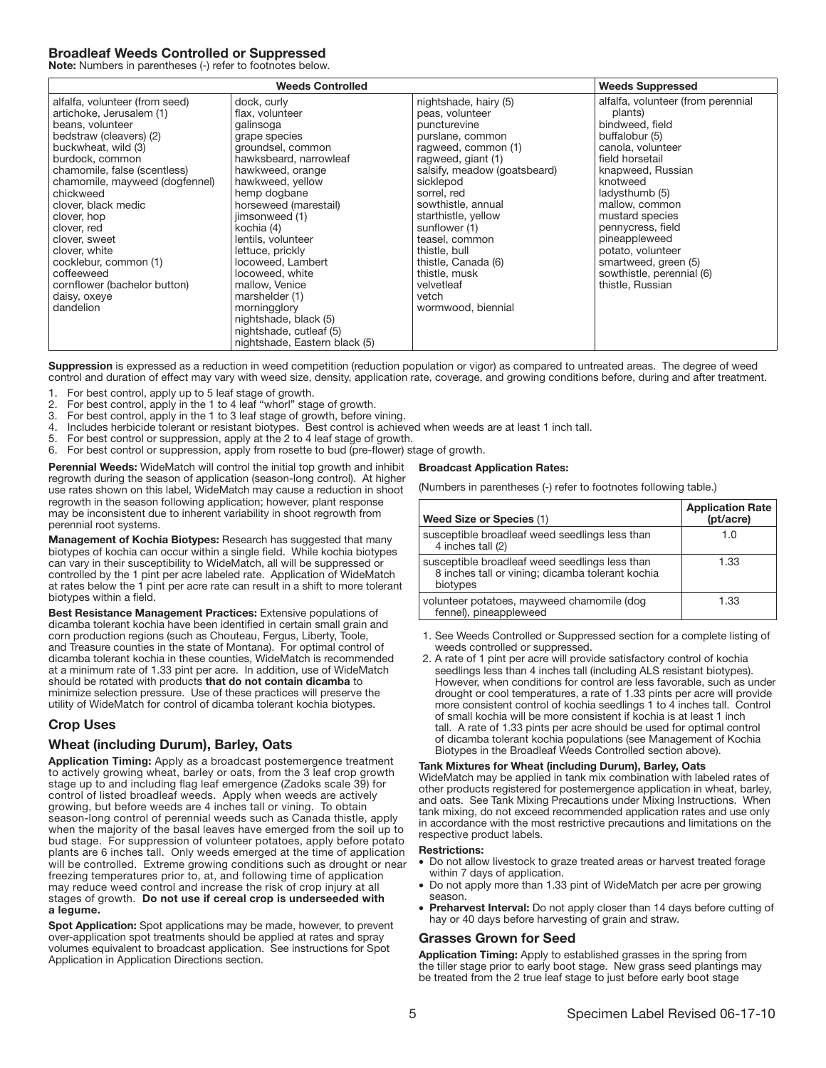## Broadleaf Weeds Controlled or Suppressed

Note: Numbers in parentheses (-) refer to footnotes below.

| <b>Weeds Controlled</b>        |                               | <b>Weeds Suppressed</b>      |                                    |
|--------------------------------|-------------------------------|------------------------------|------------------------------------|
| alfalfa, volunteer (from seed) | dock, curly                   | nightshade, hairy (5)        | alfalfa, volunteer (from perennial |
| artichoke, Jerusalem (1)       | flax, volunteer               | peas, volunteer              | plants)                            |
| beans, volunteer               | galinsoga                     | puncturevine                 | bindweed, field                    |
| bedstraw (cleavers) (2)        | grape species                 | purslane, common             | buffalobur (5)                     |
| buckwheat, wild (3)            | groundsel, common             | ragweed, common (1)          | canola, volunteer                  |
| burdock, common                | hawksbeard, narrowleaf        | ragweed, giant (1)           | field horsetail                    |
| chamomile, false (scentless)   | hawkweed, orange              | salsify, meadow (goatsbeard) | knapweed, Russian                  |
| chamomile, mayweed (dogfennel) | hawkweed, yellow              | sicklepod                    | knotweed                           |
| chickweed                      | hemp dogbane                  | sorrel, red                  | ladysthumb (5)                     |
| clover, black medic            | horseweed (marestail)         | sowthistle, annual           | mallow, common                     |
| clover, hop                    | jimsonweed (1)                | starthistle, yellow          | mustard species                    |
| clover, red                    | kochia (4)                    | sunflower (1)                | pennycress, field                  |
| clover, sweet                  | lentils, volunteer            | teasel, common               | pineappleweed                      |
| clover, white                  | lettuce, prickly              | thistle, bull                | potato, volunteer                  |
| cocklebur, common (1)          | locoweed, Lambert             | thistle, Canada (6)          | smartweed, green (5)               |
| coffeeweed                     | locoweed, white               | thistle, musk                | sowthistle, perennial (6)          |
| cornflower (bachelor button)   | mallow, Venice                | velvetleaf                   | thistle, Russian                   |
| daisy, oxeye                   | marshelder (1)                | vetch                        |                                    |
| dandelion                      | morningglory                  | wormwood, biennial           |                                    |
|                                | nightshade, black (5)         |                              |                                    |
|                                | nightshade, cutleaf (5)       |                              |                                    |
|                                | nightshade, Eastern black (5) |                              |                                    |

Suppression is expressed as a reduction in weed competition (reduction population or vigor) as compared to untreated areas. The degree of weed control and duration of effect may vary with weed size, density, application rate, coverage, and growing conditions before, during and after treatment.

- 1. For best control, apply up to 5 leaf stage of growth.
- 2. For best control, apply in the 1 to 4 leaf "whorl" stage of growth.<br>3. For best control, apply in the 1 to 3 leaf stage of growth, before v
- 3. For best control, apply in the 1 to 3 leaf stage of growth, before vining.<br>4. Includes herbicide tolerant or resistant biotypes. Best control is achieve
- Includes herbicide tolerant or resistant biotypes. Best control is achieved when weeds are at least 1 inch tall.
- 5. For best control or suppression, apply at the 2 to 4 leaf stage of growth.
- 6. For best control or suppression, apply from rosette to bud (pre-flower) stage of growth.

Perennial Weeds: WideMatch will control the initial top growth and inhibit regrowth during the season of application (season-long control). At higher use rates shown on this label, WideMatch may cause a reduction in shoot regrowth in the season following application; however, plant response may be inconsistent due to inherent variability in shoot regrowth from perennial root systems.

Management of Kochia Biotypes: Research has suggested that many biotypes of kochia can occur within a single field. While kochia biotypes can vary in their susceptibility to WideMatch, all will be suppressed or controlled by the 1 pint per acre labeled rate. Application of WideMatch at rates below the 1 pint per acre rate can result in a shift to more tolerant biotypes within a field.

Best Resistance Management Practices: Extensive populations of dicamba tolerant kochia have been identifled in certain small grain and corn production regions (such as Chouteau, Fergus, Liberty, Toole, and Treasure counties in the state of Montana). For optimal control of dicamba tolerant kochia in these counties, WideMatch is recommended at a minimum rate of 1.33 pint per acre. In addition, use of WideMatch should be rotated with products that do not contain dicamba to minimize selection pressure. Use of these practices will preserve the utility of WideMatch for control of dicamba tolerant kochia biotypes.

## Crop Uses

## Wheat (including Durum), Barley, Oats

Application Timing: Apply as a broadcast postemergence treatment to actively growing wheat, barley or oats, from the 3 leaf crop growth stage up to and including fiag leaf emergence (Zadoks scale 39) for control of listed broadleaf weeds. Apply when weeds are actively growing, but before weeds are 4 inches tall or vining. To obtain season-long control of perennial weeds such as Canada thistle, apply when the majority of the basal leaves have emerged from the soil up to bud stage. For suppression of volunteer potatoes, apply before potato plants are 6 inches tall. Only weeds emerged at the time of application will be controlled. Extreme growing conditions such as drought or near freezing temperatures prior to, at, and following time of application may reduce weed control and increase the risk of crop injury at all stages of growth. Do not use if cereal crop is underseeded with a legume.

Spot Application: Spot applications may be made, however, to prevent over-application spot treatments should be applied at rates and spray volumes equivalent to broadcast application. See instructions for Spot Application in Application Directions section.

#### Broadcast Application Rates:

(Numbers in parentheses (-) refer to footnotes following table.)

| Weed Size or Species (1)                                                                                       | <b>Application Rate</b><br>(pt/acre) |
|----------------------------------------------------------------------------------------------------------------|--------------------------------------|
| susceptible broadleaf weed seedlings less than<br>4 inches tall (2)                                            | 1.0                                  |
| susceptible broadleaf weed seedlings less than<br>8 inches tall or vining; dicamba tolerant kochia<br>biotypes | 1.33                                 |
| volunteer potatoes, mayweed chamomile (dog<br>fennel), pineappleweed                                           | 1.33                                 |

- 1. See Weeds Controlled or Suppressed section for a complete listing of weeds controlled or suppressed.
- 2. A rate of 1 pint per acre will provide satisfactory control of kochia seedlings less than 4 inches tall (including ALS resistant biotypes). However, when conditions for control are less favorable, such as under drought or cool temperatures, a rate of 1.33 pints per acre will provide more consistent control of kochia seedlings 1 to 4 inches tall. Control of small kochia will be more consistent if kochia is at least 1 inch tall. A rate of 1.33 pints per acre should be used for optimal control of dicamba tolerant kochia populations (see Management of Kochia Biotypes in the Broadleaf Weeds Controlled section above).

#### Tank Mixtures for Wheat (including Durum), Barley, Oats

WideMatch may be applied in tank mix combination with labeled rates of other products registered for postemergence application in wheat, barley, and oats. See Tank Mixing Precautions under Mixing Instructions. When tank mixing, do not exceed recommended application rates and use only in accordance with the most restrictive precautions and limitations on the respective product labels.

#### Restrictions:

- Do not allow livestock to graze treated areas or harvest treated forage within 7 days of application.
- Do not apply more than 1.33 pint of WideMatch per acre per growing season.
- **Preharvest Interval:** Do not apply closer than 14 days before cutting of hay or 40 days before harvesting of grain and straw.

## Grasses Grown for Seed

Application Timing: Apply to established grasses in the spring from the tiller stage prior to early boot stage. New grass seed plantings may be treated from the 2 true leaf stage to just before early boot stage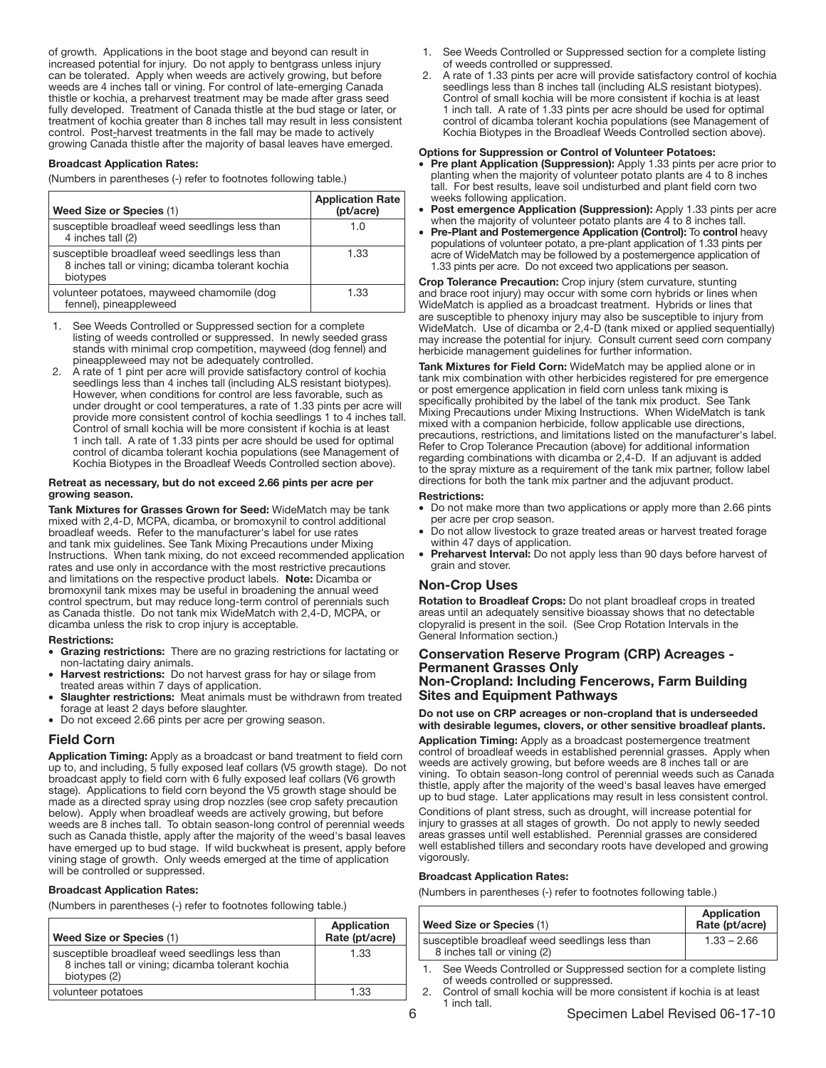of growth. Applications in the boot stage and beyond can result in increased potential for injury. Do not apply to bentgrass unless injury can be tolerated. Apply when weeds are actively growing, but before weeds are 4 inches tall or vining. For control of late-emerging Canada thistle or kochia, a preharvest treatment may be made after grass seed fully developed. Treatment of Canada thistle at the bud stage or later, or treatment of kochia greater than 8 inches tall may result in less consistent control. Post-harvest treatments in the fall may be made to actively growing Canada thistle after the majority of basal leaves have emerged.

## Broadcast Application Rates:

(Numbers in parentheses (-) refer to footnotes following table.)

| Weed Size or Species (1)                                                                                       | <b>Application Rate</b><br>(pt/acre) |
|----------------------------------------------------------------------------------------------------------------|--------------------------------------|
| susceptible broadleaf weed seedlings less than<br>4 inches tall (2)                                            | 1.O                                  |
| susceptible broadleaf weed seedlings less than<br>8 inches tall or vining; dicamba tolerant kochia<br>biotypes | 1.33                                 |
| volunteer potatoes, mayweed chamomile (dog<br>fennel), pineappleweed                                           | 1.33                                 |

- 1. See Weeds Controlled or Suppressed section for a complete listing of weeds controlled or suppressed. In newly seeded grass stands with minimal crop competition, mayweed (dog fennel) and pineappleweed may not be adequately controlled.
- 2. A rate of 1 pint per acre will provide satisfactory control of kochia seedlings less than 4 inches tall (including ALS resistant biotypes). However, when conditions for control are less favorable, such as under drought or cool temperatures, a rate of 1.33 pints per acre will provide more consistent control of kochia seedlings 1 to 4 inches tall. Control of small kochia will be more consistent if kochia is at least 1 inch tall. A rate of 1.33 pints per acre should be used for optimal control of dicamba tolerant kochia populations (see Management of Kochia Biotypes in the Broadleaf Weeds Controlled section above).

#### Retreat as necessary, but do not exceed 2.66 pints per acre per growing season.

Tank Mixtures for Grasses Grown for Seed: WideMatch may be tank mixed with 2,4-D, MCPA, dicamba, or bromoxynil to control additional broadleaf weeds. Refer to the manufacturer's label for use rates and tank mix guidelines. See Tank Mixing Precautions under Mixing Instructions. When tank mixing, do not exceed recommended application rates and use only in accordance with the most restrictive precautions and limitations on the respective product labels. Note: Dicamba or bromoxynil tank mixes may be useful in broadening the annual weed control spectrum, but may reduce long-term control of perennials such as Canada thistle. Do not tank mix WideMatch with 2,4-D, MCPA, or dicamba unless the risk to crop injury is acceptable.

#### Restrictions:

- Grazing restrictions: There are no grazing restrictions for lactating or non-lactating dairy animals.
- Harvest restrictions: Do not harvest grass for hay or silage from treated areas within 7 days of application.
- Slaughter restrictions: Meat animals must be withdrawn from treated forage at least 2 days before slaughter.
- Do not exceed 2.66 pints per acre per growing season.

## Field Corn

Application Timing: Apply as a broadcast or band treatment to field corn up to, and including, 5 fully exposed leaf collars (V5 growth stage). Do not broadcast apply to field corn with 6 fully exposed leaf collars (V6 growth stage). Applications to field corn beyond the V5 growth stage should be made as a directed spray using drop nozzles (see crop safety precaution below). Apply when broadleaf weeds are actively growing, but before weeds are 8 inches tall. To obtain season-long control of perennial weeds such as Canada thistle, apply after the majority of the weed's basal leaves have emerged up to bud stage. If wild buckwheat is present, apply before vining stage of growth. Only weeds emerged at the time of application will be controlled or suppressed.

## Broadcast Application Rates:

(Numbers in parentheses (-) refer to footnotes following table.)

| Weed Size or Species (1)                                                                                           | Application<br>Rate (pt/acre) |
|--------------------------------------------------------------------------------------------------------------------|-------------------------------|
| susceptible broadleaf weed seedlings less than<br>8 inches tall or vining; dicamba tolerant kochia<br>biotypes (2) | 1.33                          |
| volunteer potatoes                                                                                                 | 1.33                          |

- 1. See Weeds Controlled or Suppressed section for a complete listing of weeds controlled or suppressed.
- 2. A rate of 1.33 pints per acre will provide satisfactory control of kochia seedlings less than 8 inches tall (including ALS resistant biotypes). Control of small kochia will be more consistent if kochia is at least 1 inch tall. A rate of 1.33 pints per acre should be used for optimal control of dicamba tolerant kochia populations (see Management of Kochia Biotypes in the Broadleaf Weeds Controlled section above).

#### Options for Suppression or Control of Volunteer Potatoes:

- Pre plant Application (Suppression): Apply 1.33 pints per acre prior to planting when the majority of volunteer potato plants are 4 to 8 inches tall. For best results, leave soil undisturbed and plant field corn two weeks following application.
- Post emergence Application (Suppression): Apply 1.33 pints per acre when the majority of volunteer potato plants are 4 to 8 inches tall.
- Pre-Plant and Postemergence Application (Control): To control heavy populations of volunteer potato, a pre-plant application of 1.33 pints per acre of WideMatch may be followed by a postemergence application of 1.33 pints per acre. Do not exceed two applications per season.

Crop Tolerance Precaution: Crop injury (stem curvature, stunting and brace root injury) may occur with some corn hybrids or lines when WideMatch is applied as a broadcast treatment. Hybrids or lines that are susceptible to phenoxy injury may also be susceptible to injury from WideMatch. Use of dicamba or 2,4-D (tank mixed or applied sequentially) may increase the potential for injury. Consult current seed corn company herbicide management guidelines for further information.

Tank Mixtures for Field Corn: WideMatch may be applied alone or in tank mix combination with other herbicides registered for pre emergence or post emergence application in field corn unless tank mixing is specifically prohibited by the label of the tank mix product. See Tank Mixing Precautions under Mixing Instructions. When WideMatch is tank mixed with a companion herbicide, follow applicable use directions, precautions, restrictions, and limitations listed on the manufacturer's label. Refer to Crop Tolerance Precaution (above) for additional information regarding combinations with dicamba or 2,4-D. If an adjuvant is added to the spray mixture as a requirement of the tank mix partner, follow label directions for both the tank mix partner and the adjuvant product.

#### Restrictions:

- Do not make more than two applications or apply more than 2.66 pints per acre per crop season.
- Do not allow livestock to graze treated areas or harvest treated forage within 47 days of application.
- Preharvest Interval: Do not apply less than 90 days before harvest of grain and stover.

## Non-Crop Uses

Rotation to Broadleaf Crops: Do not plant broadleaf crops in treated areas until an adequately sensitive bioassay shows that no detectable clopyralid is present in the soil. (See Crop Rotation Intervals in the General Information section.)

## Conservation Reserve Program (CRP) Acreages - Permanent Grasses Only Non-Cropland: Including Fencerows, Farm Building Sites and Equipment Pathways

#### Do not use on CRP acreages or non-cropland that is underseeded with desirable legumes, clovers, or other sensitive broadleaf plants.

Application Timing: Apply as a broadcast postemergence treatment control of broadleaf weeds in established perennial grasses. Apply when weeds are actively growing, but before weeds are 8 inches tall or are vining. To obtain season-long control of perennial weeds such as Canada thistle, apply after the majority of the weed's basal leaves have emerged up to bud stage. Later applications may result in less consistent control.

Conditions of plant stress, such as drought, will increase potential for injury to grasses at all stages of growth. Do not apply to newly seeded areas grasses until well established. Perennial grasses are considered well established tillers and secondary roots have developed and growing vigorously.

## Broadcast Application Rates:

(Numbers in parentheses (-) refer to footnotes following table.)

| <b>Weed Size or Species (1)</b>                                               | Application<br>Rate (pt/acre) |
|-------------------------------------------------------------------------------|-------------------------------|
| susceptible broadleaf weed seedlings less than<br>8 inches tall or vining (2) | $1.33 - 2.66$                 |

- 1. See Weeds Controlled or Suppressed section for a complete listing of weeds controlled or suppressed.
- 2. Control of small kochia will be more consistent if kochia is at least 1 inch tall.